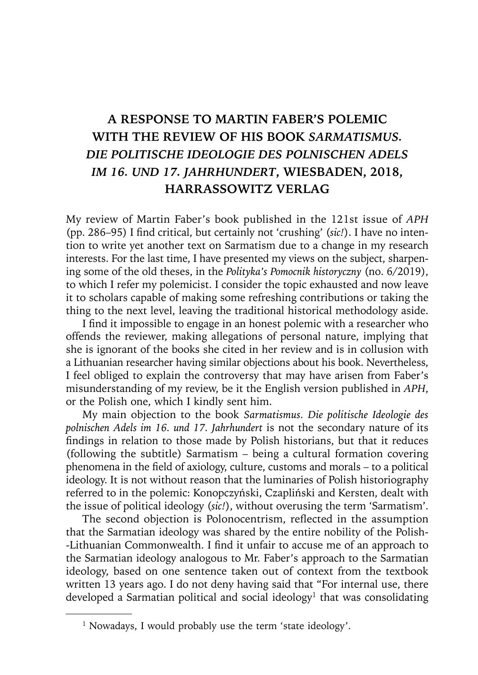## **A RESPONSE TO MARTIN FABER'S POLEMIC WITH THE REVIEW OF HIS BOOK** *SARMATISMUS. DIE POLITISCHE IDEOLOGIE DES POLNISCHEN ADELS IM 16. UND 17. JAHRHUNDERT***, WIESBADEN, 2018, HARRASSOWITZ VERLAG**

My review of Martin Faber's book published in the 121st issue of *APH* (pp. 286–95) I find critical, but certainly not 'crushing' (*sic!*). I have no intention to write yet another text on Sarmatism due to a change in my research interests. For the last time, I have presented my views on the subject, sharpening some of the old theses, in the *Polityka's Pomocnik historyczny* (no. 6/2019), to which I refer my polemicist. I consider the topic exhausted and now leave it to scholars capable of making some refreshing contributions or taking the thing to the next level, leaving the traditional historical methodology aside.

I find it impossible to engage in an honest polemic with a researcher who offends the reviewer, making allegations of personal nature, implying that she is ignorant of the books she cited in her review and is in collusion with a Lithuanian researcher having similar objections about his book. Nevertheless, I feel obliged to explain the controversy that may have arisen from Faber's misunderstanding of my review, be it the English version published in *APH*, or the Polish one, which I kindly sent him.

My main objection to the book *Sarmatismus. Die politische Ideologie des polnischen Adels im 16. und 17. Jahrhundert* is not the secondary nature of its findings in relation to those made by Polish historians, but that it reduces (following the subtitle) Sarmatism – being a cultural formation covering phenomena in the field of axiology, culture, customs and morals – to a political ideology. It is not without reason that the luminaries of Polish historiography referred to in the polemic: Konopczyński, Czapliński and Kersten, dealt with the issue of political ideology (*sic!*), without overusing the term 'Sarmatism'.

The second objection is Polonocentrism, reflected in the assumption that the Sarmatian ideology was shared by the entire nobility of the Polish- -Lithuanian Commonwealth. I find it unfair to accuse me of an approach to the Sarmatian ideology analogous to Mr. Faber's approach to the Sarmatian ideology, based on one sentence taken out of context from the textbook written 13 years ago. I do not deny having said that "For internal use, there developed a Sarmatian political and social ideology<sup>1</sup> that was consolidating

<sup>&</sup>lt;sup>1</sup> Nowadays, I would probably use the term 'state ideology'.